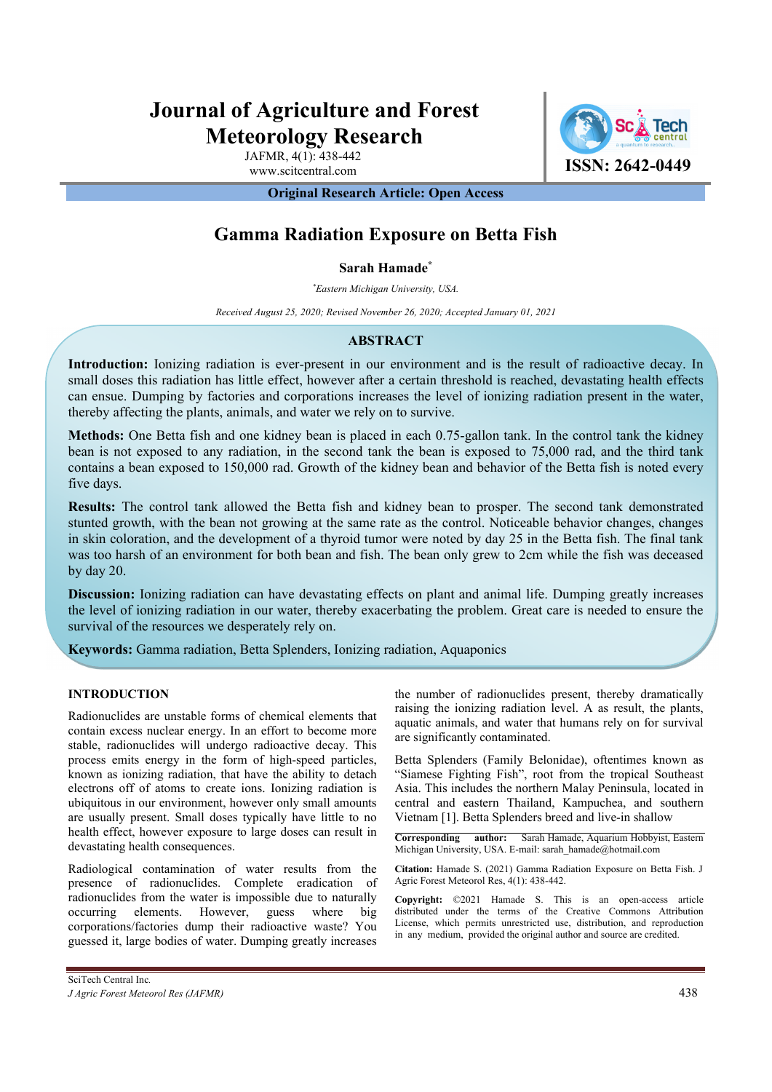# **Journal of Agriculture and Forest Meteorology Research**

JAFMR, 4(1): 438-442



**Original Research Article: Open Access** 

## **Gamma Radiation Exposure on Betta Fish**

## **Sarah Hamade\***

*\* Eastern Michigan University, USA.*

*Received August 25, 2020; Revised November 26, 2020; Accepted January 01, 2021*

## **ABSTRACT**

**Introduction:** Ionizing radiation is ever-present in our environment and is the result of radioactive decay. In small doses this radiation has little effect, however after a certain threshold is reached, devastating health effects can ensue. Dumping by factories and corporations increases the level of ionizing radiation present in the water, thereby affecting the plants, animals, and water we rely on to survive.

**Methods:** One Betta fish and one kidney bean is placed in each 0.75-gallon tank. In the control tank the kidney bean is not exposed to any radiation, in the second tank the bean is exposed to 75,000 rad, and the third tank contains a bean exposed to 150,000 rad. Growth of the kidney bean and behavior of the Betta fish is noted every five days.

**Results:** The control tank allowed the Betta fish and kidney bean to prosper. The second tank demonstrated stunted growth, with the bean not growing at the same rate as the control. Noticeable behavior changes, changes in skin coloration, and the development of a thyroid tumor were noted by day 25 in the Betta fish. The final tank was too harsh of an environment for both bean and fish. The bean only grew to 2cm while the fish was deceased by day 20.

**Discussion:** Ionizing radiation can have devastating effects on plant and animal life. Dumping greatly increases the level of ionizing radiation in our water, thereby exacerbating the problem. Great care is needed to ensure the survival of the resources we desperately rely on.

**Keywords:** Gamma radiation, Betta Splenders, Ionizing radiation, Aquaponics

## **INTRODUCTION**

Radionuclides are unstable forms of chemical elements that contain excess nuclear energy. In an effort to become more stable, radionuclides will undergo radioactive decay. This process emits energy in the form of high-speed particles, known as ionizing radiation, that have the ability to detach electrons off of atoms to create ions. Ionizing radiation is ubiquitous in our environment, however only small amounts are usually present. Small doses typically have little to no health effect, however exposure to large doses can result in devastating health consequences.

Radiological contamination of water results from the presence of radionuclides. Complete eradication of radionuclides from the water is impossible due to naturally occurring elements. However, guess where big corporations/factories dump their radioactive waste? You guessed it, large bodies of water. Dumping greatly increases

the number of radionuclides present, thereby dramatically raising the ionizing radiation level. A as result, the plants, aquatic animals, and water that humans rely on for survival are significantly contaminated.

Betta Splenders (Family Belonidae), oftentimes known as "Siamese Fighting Fish", root from the tropical Southeast Asia. This includes the northern Malay Peninsula, located in central and eastern Thailand, Kampuchea, and southern Vietnam [1]. Betta Splenders breed and live-in shallow

**Corresponding author:** Sarah Hamade, Aquarium Hobbyist, Eastern Michigan University, USA. E-mail: sarah\_hamade@hotmail.com

**Citation:** Hamade S. (2021) Gamma Radiation Exposure on Betta Fish. J Agric Forest Meteorol Res, 4(1): 438-442.

**Copyright:** ©2021 Hamade S. This is an open-access article distributed under the terms of the Creative Commons Attribution License, which permits unrestricted use, distribution, and reproduction in any medium, provided the original author and source are credited.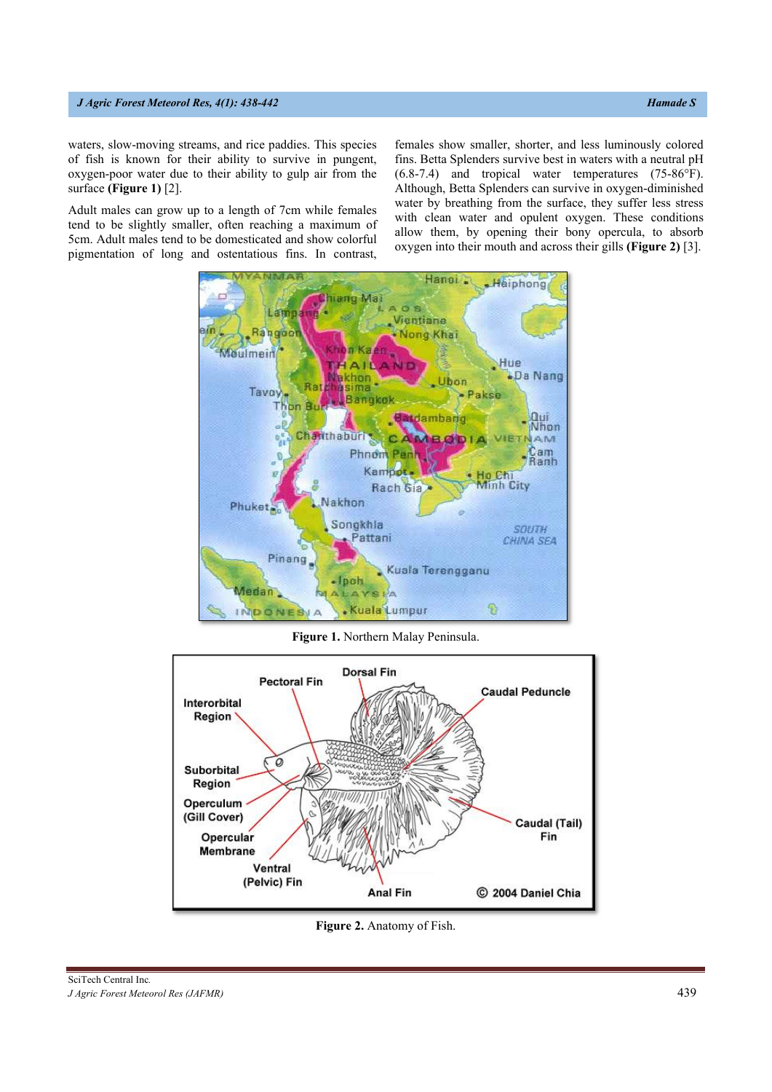#### *J Agric Forest Meteorol Res, 4(1): 438-442 Hamade S*

waters, slow-moving streams, and rice paddies. This species of fish is known for their ability to survive in pungent, oxygen-poor water due to their ability to gulp air from the surface **(Figure 1)** [2].

Adult males can grow up to a length of 7cm while females tend to be slightly smaller, often reaching a maximum of 5cm. Adult males tend to be domesticated and show colorful pigmentation of long and ostentatious fins. In contrast,

females show smaller, shorter, and less luminously colored fins. Betta Splenders survive best in waters with a neutral pH (6.8-7.4) and tropical water temperatures (75-86°F). Although, Betta Splenders can survive in oxygen-diminished water by breathing from the surface, they suffer less stress with clean water and opulent oxygen. These conditions allow them, by opening their bony opercula, to absorb oxygen into their mouth and across their gills **(Figure 2)** [3].



**Figure 1.** Northern Malay Peninsula.



**Figure 2.** Anatomy of Fish.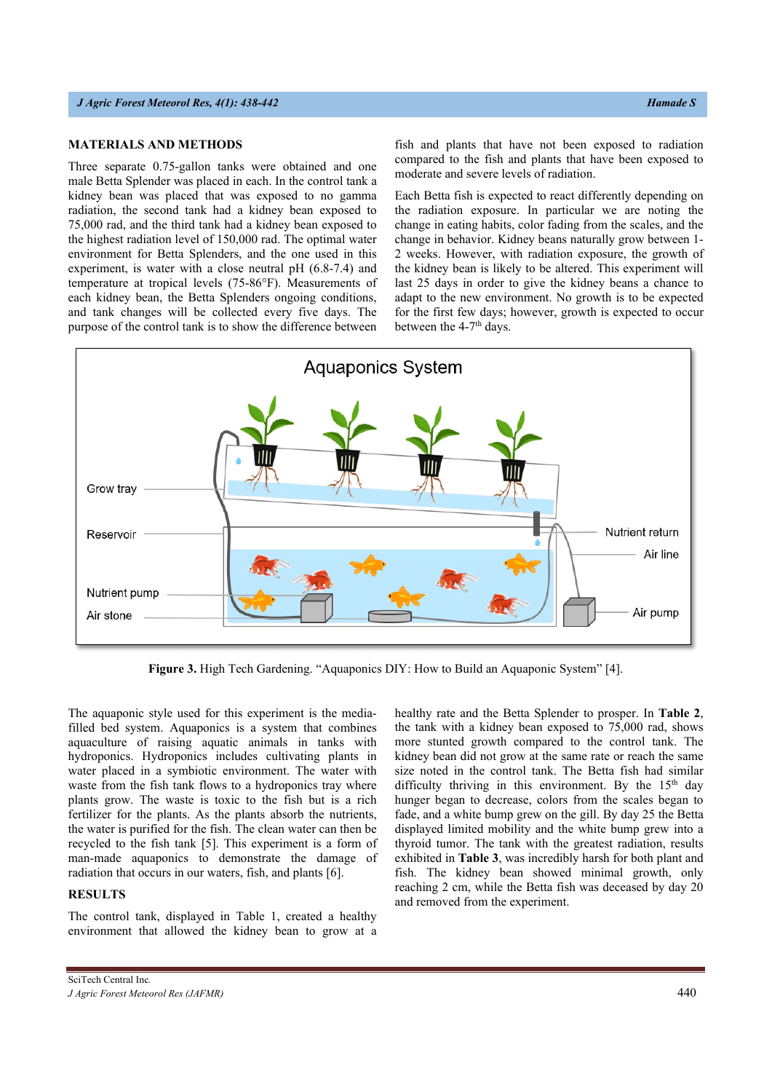#### *J Agric Forest Meteorol Res, 4(1): 438-442* **Hamade S** *J <i>Agric Forest Meteorol Res, 4(1): 438-442*

## **MATERIALS AND METHODS**

Three separate 0.75-gallon tanks were obtained and one male Betta Splender was placed in each. In the control tank a kidney bean was placed that was exposed to no gamma radiation, the second tank had a kidney bean exposed to 75,000 rad, and the third tank had a kidney bean exposed to the highest radiation level of 150,000 rad. The optimal water environment for Betta Splenders, and the one used in this experiment, is water with a close neutral pH (6.8-7.4) and temperature at tropical levels (75-86°F). Measurements of each kidney bean, the Betta Splenders ongoing conditions, and tank changes will be collected every five days. The purpose of the control tank is to show the difference between

fish and plants that have not been exposed to radiation compared to the fish and plants that have been exposed to moderate and severe levels of radiation.

Each Betta fish is expected to react differently depending on the radiation exposure. In particular we are noting the change in eating habits, color fading from the scales, and the change in behavior. Kidney beans naturally grow between 1- 2 weeks. However, with radiation exposure, the growth of the kidney bean is likely to be altered. This experiment will last 25 days in order to give the kidney beans a chance to adapt to the new environment. No growth is to be expected for the first few days; however, growth is expected to occur between the 4-7<sup>th</sup> days.



**Figure 3.** High Tech Gardening. "Aquaponics DIY: How to Build an Aquaponic System" [4].

The aquaponic style used for this experiment is the mediafilled bed system. Aquaponics is a system that combines aquaculture of raising aquatic animals in tanks with hydroponics. Hydroponics includes cultivating plants in water placed in a symbiotic environment. The water with waste from the fish tank flows to a hydroponics tray where plants grow. The waste is toxic to the fish but is a rich fertilizer for the plants. As the plants absorb the nutrients, the water is purified for the fish. The clean water can then be recycled to the fish tank [5]. This experiment is a form of man-made aquaponics to demonstrate the damage of radiation that occurs in our waters, fish, and plants [6].

#### **RESULTS**

The control tank, displayed in Table 1, created a healthy environment that allowed the kidney bean to grow at a healthy rate and the Betta Splender to prosper. In **Table 2**, the tank with a kidney bean exposed to 75,000 rad, shows more stunted growth compared to the control tank. The kidney bean did not grow at the same rate or reach the same size noted in the control tank. The Betta fish had similar difficulty thriving in this environment. By the  $15<sup>th</sup>$  day hunger began to decrease, colors from the scales began to fade, and a white bump grew on the gill. By day 25 the Betta displayed limited mobility and the white bump grew into a thyroid tumor. The tank with the greatest radiation, results exhibited in **Table 3**, was incredibly harsh for both plant and fish. The kidney bean showed minimal growth, only reaching 2 cm, while the Betta fish was deceased by day 20 and removed from the experiment.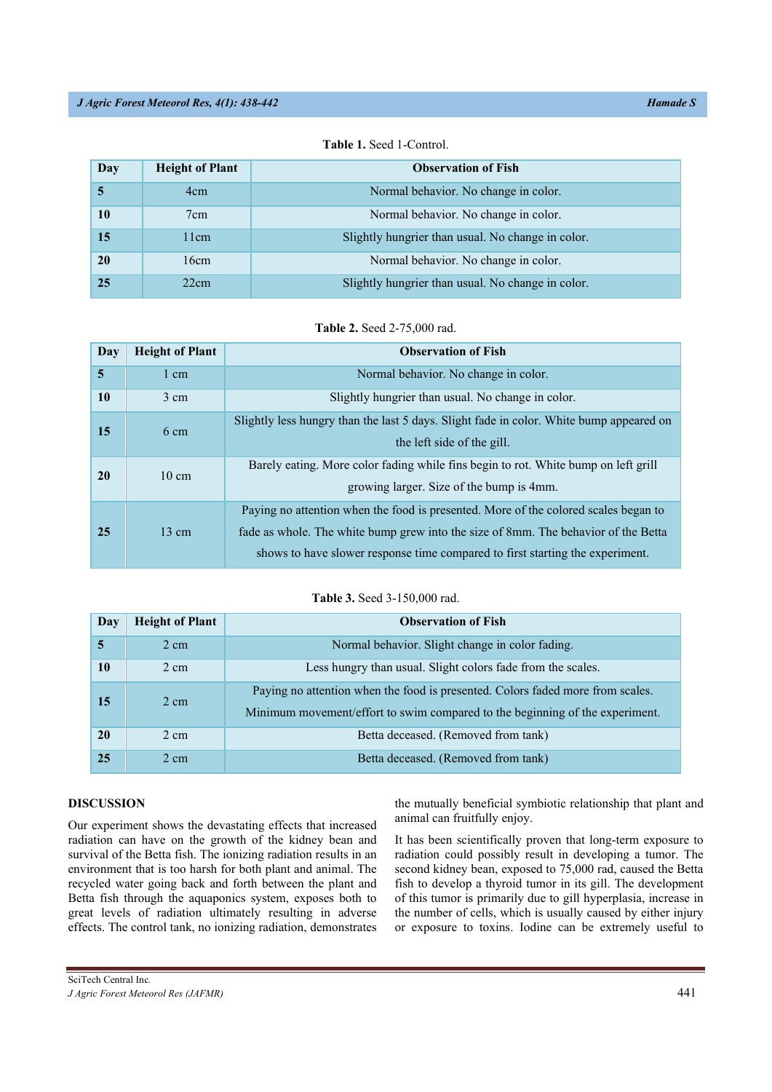#### *J Agric Forest Meteorol Res, 4(1): 438-442 Hamade S Hamade S*

| Day | <b>Height of Plant</b> | <b>Observation of Fish</b>                        |
|-----|------------------------|---------------------------------------------------|
|     | 4 <sub>cm</sub>        | Normal behavior. No change in color.              |
| 10  | 7cm                    | Normal behavior. No change in color.              |
| 15  | 11cm                   | Slightly hungrier than usual. No change in color. |
| 20  | 16cm                   | Normal behavior. No change in color.              |
| 25  | 22cm                   | Slightly hungrier than usual. No change in color. |

**Table 1.** Seed 1-Control.

|  | Table 2. Seed 2-75,000 rad. |
|--|-----------------------------|
|--|-----------------------------|

| Day       | <b>Height of Plant</b> | <b>Observation of Fish</b>                                                                                                                                                                                                                                 |
|-----------|------------------------|------------------------------------------------------------------------------------------------------------------------------------------------------------------------------------------------------------------------------------------------------------|
| 5         | 1 cm                   | Normal behavior. No change in color.                                                                                                                                                                                                                       |
| 10        | $3 \text{ cm}$         | Slightly hungrier than usual. No change in color.                                                                                                                                                                                                          |
| 15        | $6 \text{ cm}$         | Slightly less hungry than the last 5 days. Slight fade in color. White bump appeared on<br>the left side of the gill.                                                                                                                                      |
| <b>20</b> | $10 \text{ cm}$        | Barely eating. More color fading while fins begin to rot. White bump on left grill<br>growing larger. Size of the bump is 4mm.                                                                                                                             |
| 25        | $13 \text{ cm}$        | Paying no attention when the food is presented. More of the colored scales began to<br>fade as whole. The white bump grew into the size of 8mm. The behavior of the Betta<br>shows to have slower response time compared to first starting the experiment. |

#### **Table 3.** Seed 3-150,000 rad.

| Day | <b>Height of Plant</b> | <b>Observation of Fish</b>                                                                                                                                     |
|-----|------------------------|----------------------------------------------------------------------------------------------------------------------------------------------------------------|
| 5   | $2 \text{ cm}$         | Normal behavior. Slight change in color fading.                                                                                                                |
| 10  | 2 cm                   | Less hungry than usual. Slight colors fade from the scales.                                                                                                    |
| 15  | $2 \text{ cm}$         | Paying no attention when the food is presented. Colors faded more from scales.<br>Minimum movement/effort to swim compared to the beginning of the experiment. |
| 20  | $2 \text{ cm}$         | Betta deceased. (Removed from tank)                                                                                                                            |
| 25  | $2 \text{ cm}$         | Betta deceased. (Removed from tank)                                                                                                                            |

## **DISCUSSION**

Our experiment shows the devastating effects that increased radiation can have on the growth of the kidney bean and survival of the Betta fish. The ionizing radiation results in an environment that is too harsh for both plant and animal. The recycled water going back and forth between the plant and Betta fish through the aquaponics system, exposes both to great levels of radiation ultimately resulting in adverse effects. The control tank, no ionizing radiation, demonstrates the mutually beneficial symbiotic relationship that plant and animal can fruitfully enjoy.

It has been scientifically proven that long-term exposure to radiation could possibly result in developing a tumor. The second kidney bean, exposed to 75,000 rad, caused the Betta fish to develop a thyroid tumor in its gill. The development of this tumor is primarily due to gill hyperplasia, increase in the number of cells, which is usually caused by either injury or exposure to toxins. Iodine can be extremely useful to